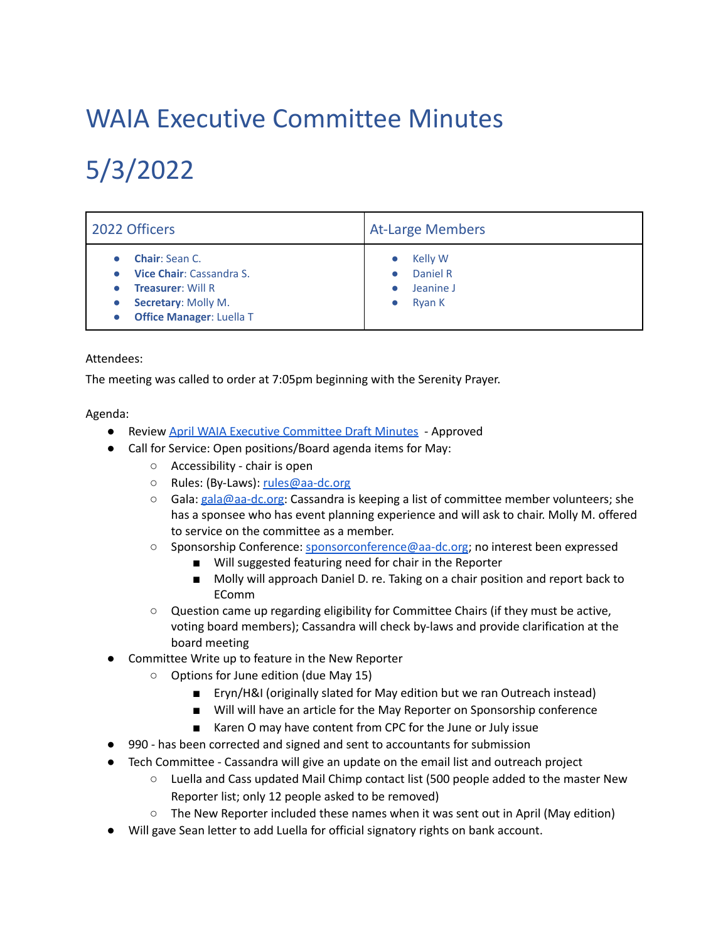## WAIA Executive Committee Minutes

## 5/3/2022

| 2022 Officers                                                                                                                           | <b>At-Large Members</b>                           |
|-----------------------------------------------------------------------------------------------------------------------------------------|---------------------------------------------------|
| <b>Chair: Sean C.</b><br>Vice Chair: Cassandra S.<br><b>Treasurer: Will R</b><br>Secretary: Molly M.<br><b>Office Manager: Luella T</b> | Kelly W<br>Daniel R<br>Jeanine J<br><b>Ryan K</b> |

## Attendees:

The meeting was called to order at 7:05pm beginning with the Serenity Prayer.

Agenda:

- Review April WAIA Executive [Committee](https://docs.google.com/document/d/1wJvlTCE3UiTaQIk5EYe9Q-puCvoXTJlpGtq6QA0dHhI/edit) Draft Minutes Approved
- Call for Service: Open positions/Board agenda items for May:
	- Accessibility chair is open
	- o Rules: (By-Laws): [rules@aa-dc.org](mailto:rules@aa-dc.org)
	- Gala: [gala@aa-dc.org](mailto:gala@aa-dc.org): Cassandra is keeping a list of committee member volunteers; she has a sponsee who has event planning experience and will ask to chair. Molly M. offered to service on the committee as a member.
	- Sponsorship Conference: [sponsorconference@aa-dc.org](mailto:sponsorconference@aa-dc.org); no interest been expressed
		- Will suggested featuring need for chair in the Reporter
		- Molly will approach Daniel D. re. Taking on a chair position and report back to EComm
	- Question came up regarding eligibility for Committee Chairs (if they must be active, voting board members); Cassandra will check by-laws and provide clarification at the board meeting
- Committee Write up to feature in the New Reporter
	- Options for June edition (due May 15)
		- Eryn/H&I (originally slated for May edition but we ran Outreach instead)
		- Will will have an article for the May Reporter on Sponsorship conference
		- Karen O may have content from CPC for the June or July issue
- 990 has been corrected and signed and sent to accountants for submission
- Tech Committee Cassandra will give an update on the email list and outreach project
	- $\circ$  Luella and Cass updated Mail Chimp contact list (500 people added to the master New Reporter list; only 12 people asked to be removed)
	- The New Reporter included these names when it was sent out in April (May edition)
- Will gave Sean letter to add Luella for official signatory rights on bank account.